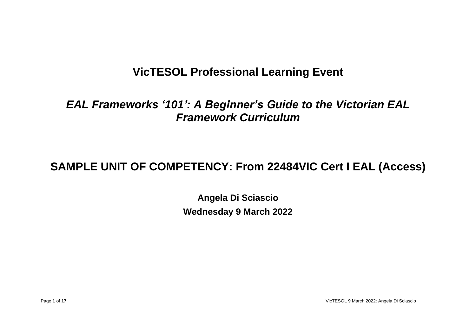# **VicTESOL Professional Learning Event**

*EAL Frameworks '101': A Beginner's Guide to the Victorian EAL Framework Curriculum*

# **SAMPLE UNIT OF COMPETENCY: From 22484VIC Cert I EAL (Access)**

**Angela Di Sciascio Wednesday 9 March 2022**

Page **1** of **17** VicTESOL 9 March 2022: Angela Di Sciascio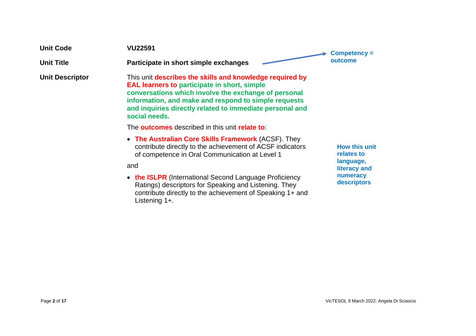| <b>Unit Code</b>       | <b>VU22591</b>                                                                                                                                                                                                                                                                                               | Competency =<br>outcome                         |
|------------------------|--------------------------------------------------------------------------------------------------------------------------------------------------------------------------------------------------------------------------------------------------------------------------------------------------------------|-------------------------------------------------|
| <b>Unit Title</b>      | Participate in short simple exchanges                                                                                                                                                                                                                                                                        |                                                 |
| <b>Unit Descriptor</b> | This unit describes the skills and knowledge required by<br><b>EAL learners to participate in short, simple</b><br>conversations which involve the exchange of personal<br>information, and make and respond to simple requests<br>and inquiries directly related to immediate personal and<br>social needs. |                                                 |
|                        | The <b>outcomes</b> described in this unit <b>relate to:</b>                                                                                                                                                                                                                                                 |                                                 |
|                        | • The Australian Core Skills Framework (ACSF). They<br>contribute directly to the achievement of ACSF indicators<br>of competence in Oral Communication at Level 1                                                                                                                                           | <b>How this unit</b><br>relates to<br>language, |
|                        | and                                                                                                                                                                                                                                                                                                          | literacy and<br>numeracy                        |
|                        | • the ISLPR (International Second Language Proficiency<br>Ratings) descriptors for Speaking and Listening. They<br>contribute directly to the achievement of Speaking 1+ and                                                                                                                                 | descriptors                                     |

Listening 1+.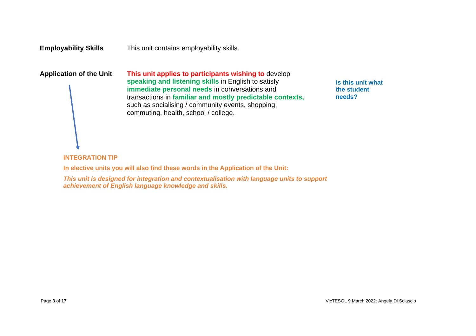# **Employability Skills** This unit contains employability skills.

**Application of the Unit This unit applies to participants wishing to** develop **speaking and listening skills** in English to satisfy **immediate personal needs** in conversations and transactions in **familiar and mostly predictable contexts,** such as socialising / community events, shopping, commuting, health, school / college.

**Is this unit what the student needs?**

# **INTEGRATION TIP**

**In elective units you will also find these words in the Application of the Unit:**

*This unit is designed for integration and contextualisation with language units to support achievement of English language knowledge and skills.*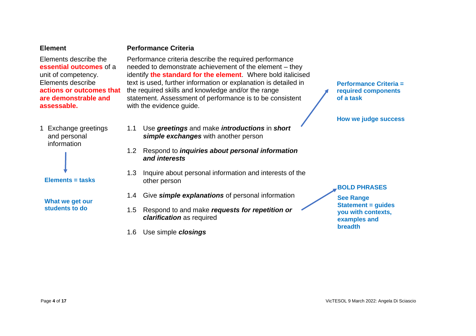#### **Element**

#### **Performance Criteria**

Elements describe the **essential outcomes** of a unit of competency. Elements describe **actions or outcomes that are demonstrable and assessable.**

1 Exchange greetings and personal information



**Elements = tasks**

**What we get our students to do**

- Performance criteria describe the required performance needed to demonstrate achievement of the element – they identify **the standard for the element**. Where bold italicised text is used, further information or explanation is detailed in the required skills and knowledge and/or the range statement. Assessment of performance is to be consistent with the evidence guide.
- 1.1 Use *greetings* and make *introductions* in *short simple exchanges* with another person
- 1.2 Respond to *inquiries about personal information and interests*
- 1.3 Inquire about personal information and interests of the other person
- 1.4 Give *simple explanations* of personal information
- 1.5 Respond to and make *requests for repetition or clarification* as required
- 1.6 Use simple *closings*

**Performance Criteria = required components of a task**

**How we judge success**

#### **BOLD PHRASES**

**See Range Statement = guides you with contexts, examples and breadth**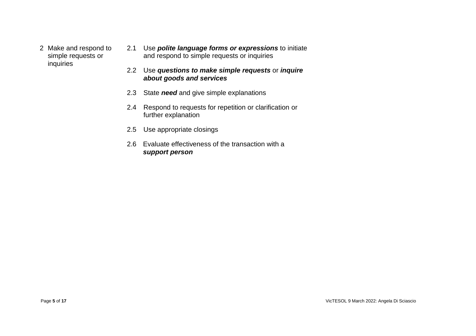- 2 Make and respond to simple requests or inquiries
- 2.1 Use *polite language forms or expressions* to initiate and respond to simple requests or inquiries
- 2.2 Use *questions to make simple requests* or *inquire about goods and services*
- 2.3 State *need* and give simple explanations
- 2.4 Respond to requests for repetition or clarification or further explanation
- 2.5 Use appropriate closings
- 2.6 Evaluate effectiveness of the transaction with a *support person*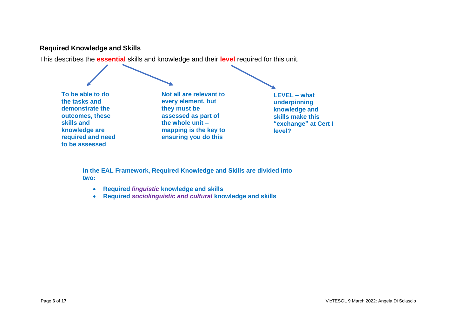# **Required Knowledge and Skills**

This describes the **essential** skills and knowledge and their **level** required for this unit.

**To be able to do the tasks and demonstrate the outcomes, these skills and knowledge are required and need to be assessed**

**Not all are relevant to every element, but they must be assessed as part of the whole unit – mapping is the key to ensuring you do this**

**LEVEL – what underpinning knowledge and skills make this "exchange" at Cert I level?**

**In the EAL Framework, Required Knowledge and Skills are divided into two:**

- **Required** *linguistic* **knowledge and skills**
- **Required** *sociolinguistic and cultural* **knowledge and skills**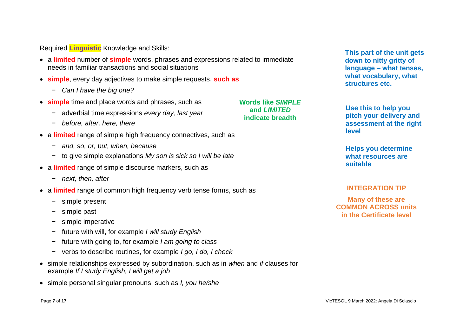Required **Linguistic** Knowledge and Skills:

• a **limited** number of **simple** words, phrases and expressions related to immediate needs in familiar transactions and social situations

> **Words like** *SIMPLE* **and** *LIMITED* **indicate breadth**

- **simple**, every day adjectives to make simple requests, **such as**
	- − *Can I have the big one?*
- **simple** time and place words and phrases, such as
	- − adverbial time expressions *every day, last year*
	- − *before, after, here, there*
- a **limited** range of simple high frequency connectives, such as
	- − *and, so, or, but, when, because*
	- − to give simple explanations *My son is sick so I will be late*
- a **limited** range of simple discourse markers, such as
	- − *next, then, after*
- a **limited** range of common high frequency verb tense forms, such as
	- − simple present
	- − simple past
	- simple imperative
	- − future with will, for example *I will study English*
	- − future with going to, for example *I am going to class*
	- − verbs to describe routines, for example *I go, I do, I check*
- simple relationships expressed by subordination, such as in *when* and *if* clauses for example *If I study English, I will get a job*
- simple personal singular pronouns, such as *I, you he/she*

**This part of the unit gets down to nitty gritty of language – what tenses, what vocabulary, what structures etc.**

**Use this to help you pitch your delivery and assessment at the right level**

**Helps you determine what resources are suitable**

#### **INTEGRATION TIP**

**Many of these are COMMON ACROSS units in the Certificate level**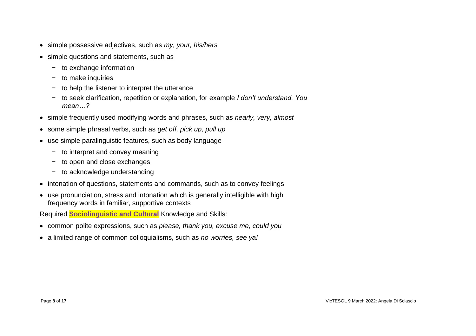- simple possessive adjectives, such as *my, your, his/hers*
- simple questions and statements, such as
	- − to exchange information
	- − to make inquiries
	- − to help the listener to interpret the utterance
	- − to seek clarification, repetition or explanation, for example *I don't understand. You mean…?*
- simple frequently used modifying words and phrases, such as *nearly, very, almost*
- some simple phrasal verbs, such as *get off, pick up, pull up*
- use simple paralinguistic features, such as body language
	- − to interpret and convey meaning
	- − to open and close exchanges
	- − to acknowledge understanding
- intonation of questions, statements and commands, such as to convey feelings
- use pronunciation, stress and intonation which is generally intelligible with high frequency words in familiar, supportive contexts

Required **Sociolinguistic and Cultural** Knowledge and Skills:

- common polite expressions, such as *please, thank you, excuse me, could you*
- a limited range of common colloquialisms, such as *no worries, see ya!*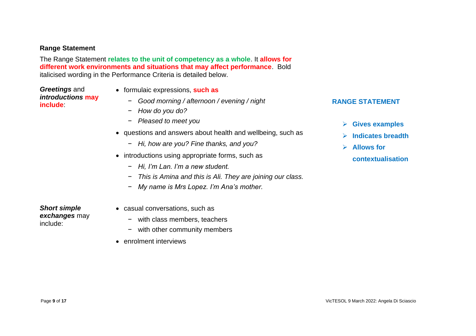### **Range Statement**

The Range Statement **relates to the unit of competency as a whole**. It **allows for different work environments and situations that may affect performance**. Bold italicised wording in the Performance Criteria is detailed below.

*Greetings* and *introductions* **may include**:

- formulaic expressions, **such as**
	- − *Good morning / afternoon / evening / night*
	- − *How do you do?*
	- − *Pleased to meet you*
- questions and answers about health and wellbeing, such as
	- − *Hi, how are you? Fine thanks, and you?*
- introductions using appropriate forms, such as
	- − *Hi, I'm Lan. I'm a new student.*
	- − *This is Amina and this is Ali. They are joining our class.*
	- − *My name is Mrs Lopez. I'm Ana's mother.*

*Short simple exchanges* may include:

- casual conversations, such as
	- − with class members, teachers
	- − with other community members
- enrolment interviews

#### **RANGE STATEMENT**

- ➢ **Gives examples**
- ➢ **Indicates breadth**
- ➢ **Allows for** 
	- **contextualisation**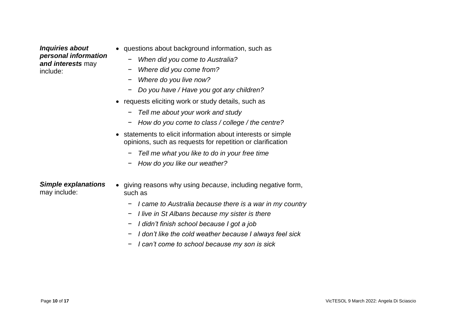*Inquiries about personal information and interests* may include:

- questions about background information, such as
	- − *When did you come to Australia?*
	- − *Where did you come from?*
	- − *Where do you live now?*
	- − *Do you have / Have you got any children?*
- requests eliciting work or study details, such as
	- − *Tell me about your work and study*
	- − *How do you come to class / college / the centre?*
- statements to elicit information about interests or simple opinions, such as requests for repetition or clarification
	- − *Tell me what you like to do in your free time*
	- − *How do you like our weather?*

*Simple explanations* may include:

- giving reasons why using *because*, including negative form, such as
	- − *I came to Australia because there is a war in my country*
	- − *I live in St Albans because my sister is there*
	- − *I didn't finish school because I got a job*
	- − *I don't like the cold weather because I always feel sick*
	- − *I can't come to school because my son is sick*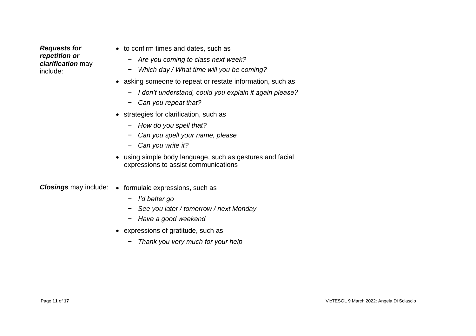*Requests for repetition or clarification* may include:

- to confirm times and dates, such as
	- − *Are you coming to class next week?*
	- − *Which day / What time will you be coming?*
- asking someone to repeat or restate information, such as
	- − *I don't understand, could you explain it again please?*
	- − *Can you repeat that?*
- strategies for clarification, such as
	- − *How do you spell that?*
	- − *Can you spell your name, please*
	- − *Can you write it?*
- using simple body language, such as gestures and facial expressions to assist communications

*Closings* may include: • formulaic expressions, such as

- − *I'd better go*
- − *See you later / tomorrow / next Monday*
- − *Have a good weekend*
- expressions of gratitude, such as
	- − *Thank you very much for your help*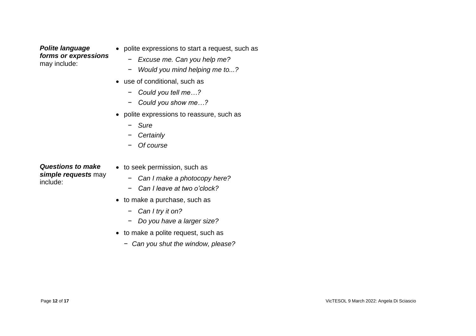*Polite language forms or expressions* may include:

- polite expressions to start a request, such as
	- − *Excuse me. Can you help me?*
	- − *Would you mind helping me to...?*
- use of conditional, such as
	- − *Could you tell me…?*
	- − *Could you show me…?*
- polite expressions to reassure, such as
	- − *Sure*
	- − *Certainly*
	- − *Of course*

*Questions to make simple requests* may include:

- to seek permission, such as
	- − *Can I make a photocopy here?*
	- − *Can I leave at two o'clock?*
- to make a purchase, such as
	- − *Can I try it on?*
	- − *Do you have a larger size?*
- to make a polite request, such as
	- − *Can you shut the window, please?*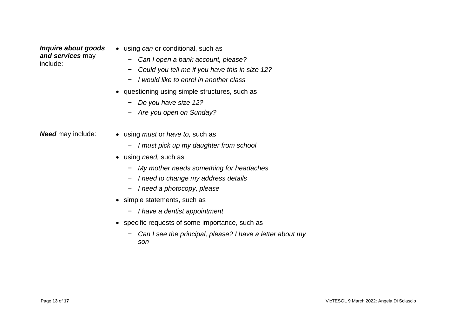*Inquire about goods and services* may include:

- using *can* or conditional, such as
	- − *Can I open a bank account, please?*
	- − *Could you tell me if you have this in size 12?*
	- − *I would like to enrol in another class*
- questioning using simple structures, such as
	- − *Do you have size 12?*
	- − *Are you open on Sunday?*

- *Need* may include: using *must* or *have to,* such as
	- − *I must pick up my daughter from school*
	- using *need,* such as
		- − *My mother needs something for headaches*
		- − *I need to change my address details*
		- − *I need a photocopy, please*
	- simple statements, such as
		- − *I have a dentist appointment*
	- specific requests of some importance, such as
		- − *Can I see the principal, please? I have a letter about my son*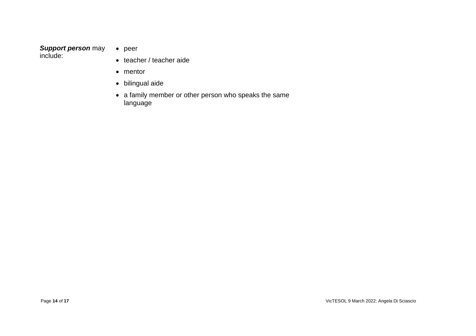#### *Support person* may include:

- peer
	- teacher / teacher aide
	- mentor
	- bilingual aide
	- a family member or other person who speaks the same language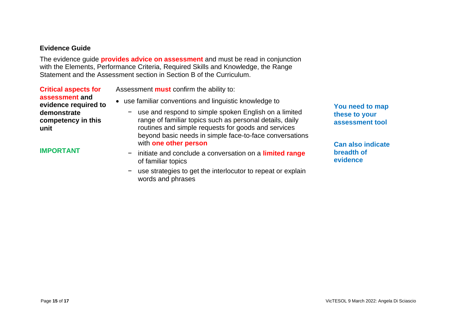#### **Evidence Guide**

The evidence guide **provides advice on assessment** and must be read in conjunction with the Elements, Performance Criteria, Required Skills and Knowledge, the Range Statement and the Assessment section in Section B of the Curriculum.

**Critical aspects for assessment and evidence required to demonstrate competency in this unit**

**IMPORTANT**

Assessment **must** confirm the ability to:

- use familiar conventions and linguistic knowledge to
	- − use and respond to simple spoken English on a limited range of familiar topics such as personal details, daily routines and simple requests for goods and services beyond basic needs in simple face-to-face conversations with **one other person**
	- − initiate and conclude a conversation on a **limited range** of familiar topics
	- − use strategies to get the interlocutor to repeat or explain words and phrases

**You need to map these to your assessment tool**

**Can also indicate breadth of evidence**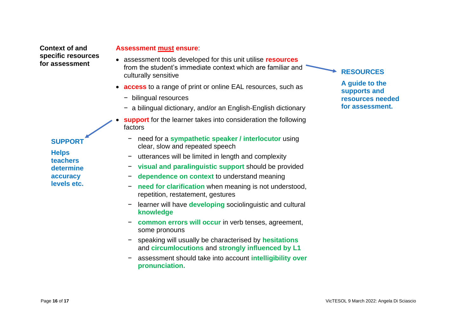**Context of and specific resources for assessment**

# **SUPPORT**

**Helps teachers determine accuracy levels etc.**

#### **Assessment must ensure**:

- assessment tools developed for this unit utilise **resources** from the student's immediate context which are familiar and culturally sensitive
- **access** to a range of print or online EAL resources, such as
	- − bilingual resources
	- − a bilingual dictionary, and/or an English-English dictionary
- **support** for the learner takes into consideration the following factors
	- − need for a **sympathetic speaker / interlocutor** using clear, slow and repeated speech
		- utterances will be limited in length and complexity
	- − **visual and paralinguistic support** should be provided
	- − **dependence on context** to understand meaning
	- − **need for clarification** when meaning is not understood, repetition, restatement, gestures
	- − learner will have **developing** sociolinguistic and cultural **knowledge**
	- − **common errors will occur** in verb tenses, agreement, some pronouns
	- − speaking will usually be characterised by **hesitations** and **circumlocutions** and **strongly influenced by L1**
	- − assessment should take into account **intelligibility over pronunciation.**

# **RESOURCES**

**A guide to the supports and resources needed for assessment.**